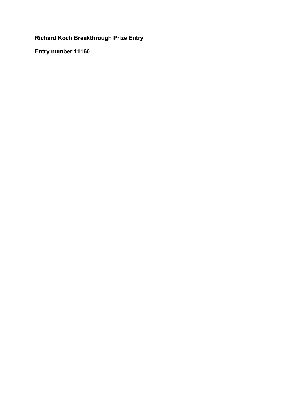# **Richard Koch Breakthrough Prize Entry**

**Entry number 11160**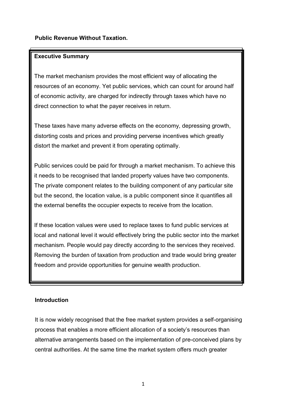## **Public Revenue Without Taxation.**

## **Executive Summary**

The market mechanism provides the most efficient way of allocating the resources of an economy. Yet public services, which can count for around half of economic activity, are charged for indirectly through taxes which have no direct connection to what the payer receives in return.

These taxes have many adverse effects on the economy, depressing growth, distorting costs and prices and providing perverse incentives which greatly distort the market and prevent it from operating optimally.

Public services could be paid for through a market mechanism. To achieve this it needs to be recognised that landed property values have two components. The private component relates to the building component of any particular site but the second, the location value, is a public component since it quantifies all the external benefits the occupier expects to receive from the location.

If these location values were used to replace taxes to fund public services at local and national level it would effectively bring the public sector into the market mechanism. People would pay directly according to the services they received. Removing the burden of taxation from production and trade would bring greater freedom and provide opportunities for genuine wealth production.

## **Introduction**

It is now widely recognised that the free market system provides a self-organising process that enables a more efficient allocation of a society's resources than alternative arrangements based on the implementation of pre-conceived plans by central authorities. At the same time the market system offers much greater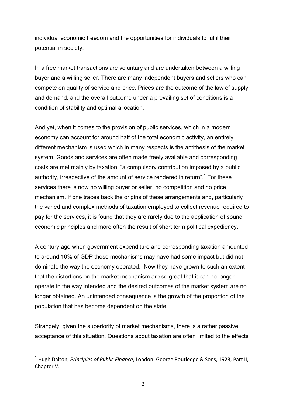individual economic freedom and the opportunities for individuals to fulfil their potential in society.

In a free market transactions are voluntary and are undertaken between a willing buyer and a willing seller. There are many independent buyers and sellers who can compete on quality of service and price. Prices are the outcome of the law of supply and demand, and the overall outcome under a prevailing set of conditions is a condition of stability and optimal allocation.

And yet, when it comes to the provision of public services, which in a modern economy can account for around half of the total economic activity, an entirely different mechanism is used which in many respects is the antithesis of the market system. Goods and services are often made freely available and corresponding costs are met mainly by taxation: "a compulsory contribution imposed by a public authority, irrespective of the amount of service rendered in return".<sup>1</sup> For these services there is now no willing buyer or seller, no competition and no price mechanism. If one traces back the origins of these arrangements and, particularly the varied and complex methods of taxation employed to collect revenue required to pay for the services, it is found that they are rarely due to the application of sound economic principles and more often the result of short term political expediency.

A century ago when government expenditure and corresponding taxation amounted to around 10% of GDP these mechanisms may have had some impact but did not dominate the way the economy operated. Now they have grown to such an extent that the distortions on the market mechanism are so great that it can no longer operate in the way intended and the desired outcomes of the market system are no longer obtained. An unintended consequence is the growth of the proportion of the population that has become dependent on the state.

Strangely, given the superiority of market mechanisms, there is a rather passive acceptance of this situation. Questions about taxation are often limited to the effects

<sup>&</sup>lt;sup>1</sup> Hugh Dalton, *Principles of Public Finance*, London: George Routledge & Sons, 1923, Part II, Chapter V.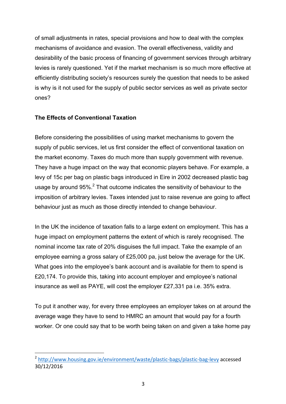of small adjustments in rates, special provisions and how to deal with the complex mechanisms of avoidance and evasion. The overall effectiveness, validity and desirability of the basic process of financing of government services through arbitrary levies is rarely questioned. Yet if the market mechanism is so much more effective at efficiently distributing society's resources surely the question that needs to be asked is why is it not used for the supply of public sector services as well as private sector ones?

## **The Effects of Conventional Taxation**

 

Before considering the possibilities of using market mechanisms to govern the supply of public services, let us first consider the effect of conventional taxation on the market economy. Taxes do much more than supply government with revenue. They have a huge impact on the way that economic players behave. For example, a levy of 15c per bag on plastic bags introduced in Eire in 2002 decreased plastic bag usage by around  $95\%$ . That outcome indicates the sensitivity of behaviour to the imposition of arbitrary levies. Taxes intended just to raise revenue are going to affect behaviour just as much as those directly intended to change behaviour.

In the UK the incidence of taxation falls to a large extent on employment. This has a huge impact on employment patterns the extent of which is rarely recognised. The nominal income tax rate of 20% disguises the full impact. Take the example of an employee earning a gross salary of £25,000 pa, just below the average for the UK. What goes into the employee's bank account and is available for them to spend is £20,174. To provide this, taking into account employer and employee's national insurance as well as PAYE, will cost the employer £27,331 pa i.e. 35% extra.

To put it another way, for every three employees an employer takes on at around the average wage they have to send to HMRC an amount that would pay for a fourth worker. Or one could say that to be worth being taken on and given a take home pay

<sup>&</sup>lt;sup>2</sup> http://www.housing.gov.ie/environment/waste/plastic-bags/plastic-bag-levy accessed 30/12/2016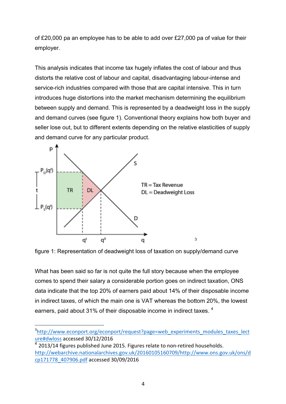of £20,000 pa an employee has to be able to add over £27,000 pa of value for their employer.

This analysis indicates that income tax hugely inflates the cost of labour and thus distorts the relative cost of labour and capital, disadvantaging labour-intense and service-rich industries compared with those that are capital intensive. This in turn introduces huge distortions into the market mechanism determining the equilibrium between supply and demand. This is represented by a deadweight loss in the supply and demand curves (see figure 1). Conventional theory explains how both buyer and seller lose out, but to different extents depending on the relative elasticities of supply and demand curve for any particular product.



 

figure 1: Representation of deadweight loss of taxation on supply/demand curve

What has been said so far is not quite the full story because when the employee comes to spend their salary a considerable portion goes on indirect taxation, ONS data indicate that the top 20% of earners paid about 14% of their disposable income in indirect taxes, of which the main one is VAT whereas the bottom 20%, the lowest earners, paid about 31% of their disposable income in indirect taxes. <sup>4</sup>

<sup>&</sup>lt;sup>3</sup>http://www.econport.org/econport/request?page=web\_experiments\_modules\_taxes\_lect ure#dwloss accessed 30/12/2016

 $^4$  2013/14 figures published June 2015. Figures relate to non-retired households. http://webarchive.nationalarchives.gov.uk/20160105160709/http://www.ons.gov.uk/ons/d cp171778\_407906.pdf accessed 30/09/2016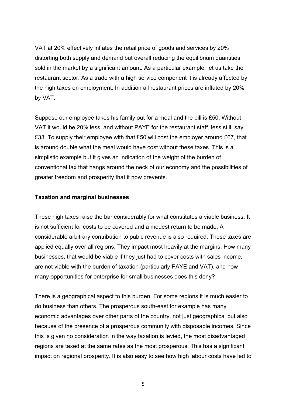VAT at 20% effectively inflates the retail price of goods and services by 20% distorting both supply and demand but overall reducing the equilibrium quantities sold in the market by a significant amount. As a particular example, let us take the restaurant sector. As a trade with a high service component it is already affected by the high taxes on employment. In addition all restaurant prices are inflated by 20% by VAT.

Suppose our employee takes his family out for a meal and the bill is £50. Without VAT it would be 20% less, and without PAYE for the restaurant staff, less still, say £33. To supply their employee with that £50 will cost the employer around £67, that is around double what the meal would have cost without these taxes. This is a simplistic example but it gives an indication of the weight of the burden of conventional tax that hangs around the neck of our economy and the possibilities of greater freedom and prosperity that it now prevents.

#### **Taxation and marginal businesses**

These high taxes raise the bar considerably for what constitutes a viable business. It is not sufficient for costs to be covered and a modest return to be made. A considerable arbitrary contribution to pubic revenue is also required. These taxes are applied equally over all regions. They impact most heavily at the margins. How many businesses, that would be viable if they just had to cover costs with sales income, are not viable with the burden of taxation (particularly PAYE and VAT), and how many opportunities for enterprise for small businesses does this deny?

There is a geographical aspect to this burden. For some regions it is much easier to do business than others. The prosperous south-east for example has many economic advantages over other parts of the country, not just geographical but also because of the presence of a prosperous community with disposable incomes. Since this is given no consideration in the way taxation is levied, the most disadvantaged regions are taxed at the same rates as the most prosperous. This has a significant impact on regional prosperity. It is also easy to see how high labour costs have led to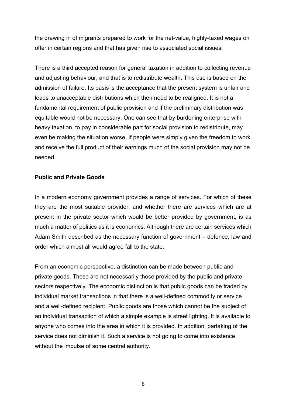the drawing in of migrants prepared to work for the net-value, highly-taxed wages on offer in certain regions and that has given rise to associated social issues.

There is a third accepted reason for general taxation in addition to collecting revenue and adjusting behaviour, and that is to redistribute wealth. This use is based on the admission of failure. Its basis is the acceptance that the present system is unfair and leads to unacceptable distributions which then need to be realigned. It is not a fundamental requirement of public provision and if the preliminary distribution was equitable would not be necessary. One can see that by burdening enterprise with heavy taxation, to pay in considerable part for social provision to redistribute, may even be making the situation worse. If people were simply given the freedom to work and receive the full product of their earnings much of the social provision may not be needed.

#### **Public and Private Goods**

In a modern economy government provides a range of services. For which of these they are the most suitable provider, and whether there are services which are at present in the private sector which would be better provided by government, is as much a matter of politics as it is economics. Although there are certain services which Adam Smith described as the necessary function of government – defence, law and order which almost all would agree fall to the state.

From an economic perspective, a distinction can be made between public and private goods. These are not necessarily those provided by the public and private sectors respectively. The economic distinction is that public goods can be traded by individual market transactions in that there is a well-defined commodity or service and a well-defined recipient. Public goods are those which cannot be the subject of an individual transaction of which a simple example is street lighting. It is available to anyone who comes into the area in which it is provided. In addition, partaking of the service does not diminish it. Such a service is not going to come into existence without the impulse of some central authority.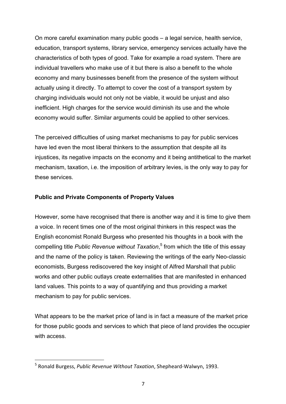On more careful examination many public goods – a legal service, health service, education, transport systems, library service, emergency services actually have the characteristics of both types of good. Take for example a road system. There are individual travellers who make use of it but there is also a benefit to the whole economy and many businesses benefit from the presence of the system without actually using it directly. To attempt to cover the cost of a transport system by charging individuals would not only not be viable, it would be unjust and also inefficient. High charges for the service would diminish its use and the whole economy would suffer. Similar arguments could be applied to other services.

The perceived difficulties of using market mechanisms to pay for public services have led even the most liberal thinkers to the assumption that despite all its injustices, its negative impacts on the economy and it being antithetical to the market mechanism, taxation, i.e. the imposition of arbitrary levies, is the only way to pay for these services.

## **Public and Private Components of Property Values**

However, some have recognised that there is another way and it is time to give them a voice. In recent times one of the most original thinkers in this respect was the English economist Ronald Burgess who presented his thoughts in a book with the compelling title *Public Revenue without Taxation*, <sup>5</sup> from which the title of this essay and the name of the policy is taken. Reviewing the writings of the early Neo-classic economists, Burgess rediscovered the key insight of Alfred Marshall that public works and other public outlays create externalities that are manifested in enhanced land values. This points to a way of quantifying and thus providing a market mechanism to pay for public services.

What appears to be the market price of land is in fact a measure of the market price for those public goods and services to which that piece of land provides the occupier with access.

<sup>&</sup>lt;sup>5</sup> Ronald Burgess, *Public Revenue Without Taxation*, Shepheard-Walwyn, 1993.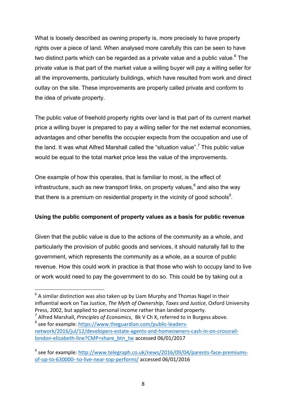What is loosely described as owning property is, more precisely to have property rights over a piece of land. When analysed more carefully this can be seen to have two distinct parts which can be regarded as a private value and a public value.<sup>6</sup> The private value is that part of the market value a willing buyer will pay a willing seller for all the improvements, particularly buildings, which have resulted from work and direct outlay on the site. These improvements are properly called private and conform to the idea of private property.

The public value of freehold property rights over land is that part of its current market price a willing buyer is prepared to pay a willing seller for the net external economies, advantages and other benefits the occupier expects from the occupation and use of the land. It was what Alfred Marshall called the "situation value".<sup>7</sup> This public value would be equal to the total market price less the value of the improvements.

One example of how this operates, that is familiar to most, is the effect of infrastructure, such as new transport links, on property values, $^8$  and also the way that there is a premium on residential property in the vicinity of good schools $^9$ .

## **Using the public component of property values as a basis for public revenue**

Given that the public value is due to the actions of the community as a whole, and particularly the provision of public goods and services, it should naturally fall to the government, which represents the community as a whole, as a source of public revenue. How this could work in practice is that those who wish to occupy land to live or work would need to pay the government to do so. This could be by taking out a

 $6$  A similar distinction was also taken up by Liam Murphy and Thomas Nagel in their influential work on Tax Justice, *The Myth of Ownership*, *Taxes and Justice*, Oxford University Press, 2002, but applied to personal income rather than landed property.

<sup>&</sup>lt;sup>7</sup> Alfred Marshall, *Principles of Economics*, Bk V Ch X, referred to in Burgess above.  $8$  see for example: https://www.theguardian.com/public-leadersnetwork/2016/jul/12/developers-estate-agents-and-homeowners-cash-in-on-crossraillondon-elizabeth-line?CMP=share\_btn\_tw accessed 06/01/2017

 $9$  see for example: http://www.telegraph.co.uk/news/2016/09/04/parents-face-premiumsof-up-to-630000--to-live-near-top-performi/accessed 06/01/2016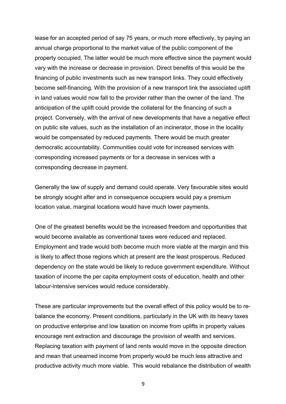lease for an accepted period of say 75 years, or much more effectively, by paying an annual charge proportional to the market value of the public component of the property occupied. The latter would be much more effective since the payment would vary with the increase or decrease in provision. Direct benefits of this would be the financing of public investments such as new transport links. They could effectively become self-financing. With the provision of a new transport link the associated uplift in land values would now fall to the provider rather than the owner of the land. The anticipation of the uplift could provide the collateral for the financing of such a project. Conversely, with the arrival of new developments that have a negative effect on public site values, such as the installation of an incinerator, those in the locality would be compensated by reduced payments. There would be much greater democratic accountability. Communities could vote for increased services with corresponding increased payments or for a decrease in services with a corresponding decrease in payment.

Generally the law of supply and demand could operate. Very favourable sites would be strongly sought after and in consequence occupiers would pay a premium location value, marginal locations would have much lower payments.

One of the greatest benefits would be the increased freedom and opportunities that would become available as conventional taxes were reduced and replaced. Employment and trade would both become much more viable at the margin and this is likely to affect those regions which at present are the least prosperous. Reduced dependency on the state would be likely to reduce government expenditure. Without taxation of income the per capita employment costs of education, health and other labour-intensive services would reduce considerably.

These are particular improvements but the overall effect of this policy would be to rebalance the economy. Present conditions, particularly in the UK with its heavy taxes on productive enterprise and low taxation on income from uplifts in property values encourage rent extraction and discourage the provision of wealth and services. Replacing taxation with payment of land rents would move in the opposite direction and mean that unearned income from property would be much less attractive and productive activity much more viable. This would rebalance the distribution of wealth